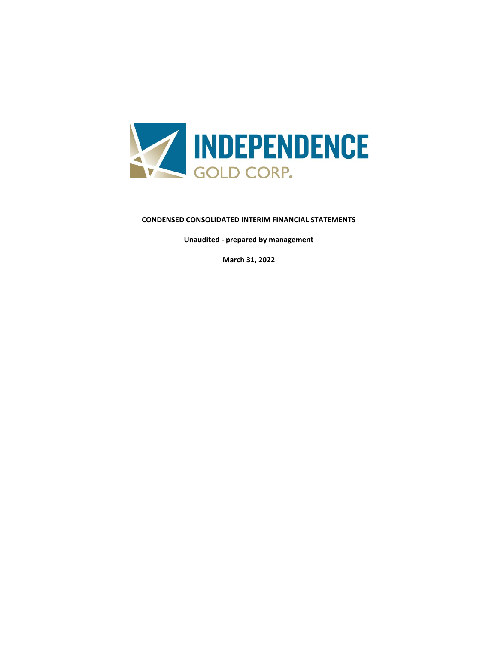

# **CONDENSED CONSOLIDATED INTERIM FINANCIAL STATEMENTS**

**Unaudited - prepared by management**

**March 31, 2022**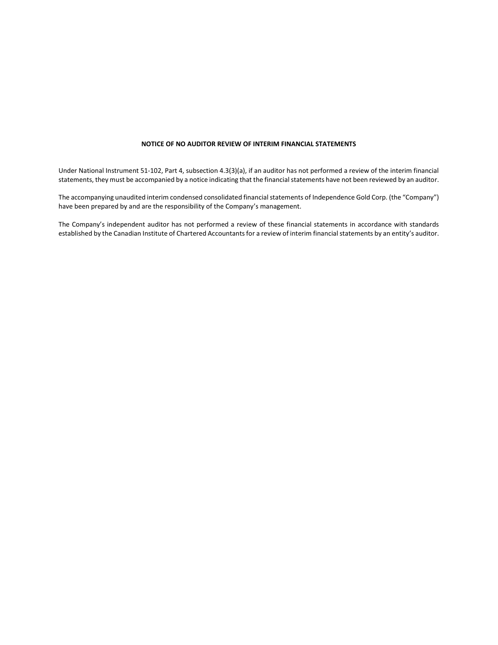#### **NOTICE OF NO AUDITOR REVIEW OF INTERIM FINANCIAL STATEMENTS**

Under National Instrument 51-102, Part 4, subsection 4.3(3)(a), if an auditor has not performed a review of the interim financial statements, they must be accompanied by a notice indicating that the financial statements have not been reviewed by an auditor.

The accompanying unaudited interim condensed consolidated financial statements of Independence Gold Corp. (the "Company") have been prepared by and are the responsibility of the Company's management.

The Company's independent auditor has not performed a review of these financial statements in accordance with standards established by the Canadian Institute of Chartered Accountants for a review of interim financial statements by an entity's auditor.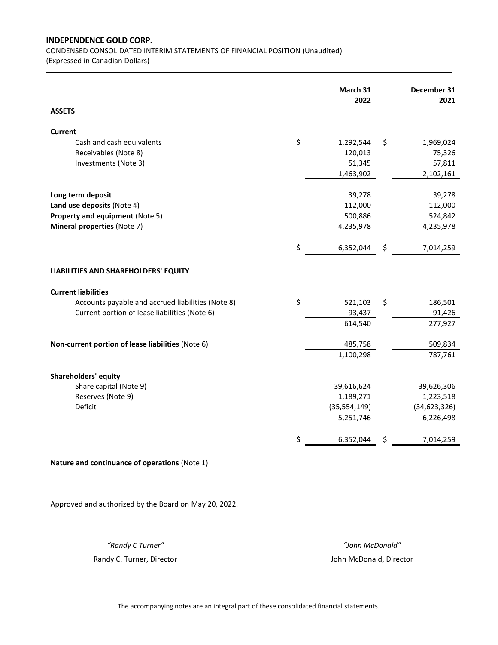CONDENSED CONSOLIDATED INTERIM STATEMENTS OF FINANCIAL POSITION (Unaudited)

(Expressed in Canadian Dollars)

|                                                   | March 31<br>2022 | December 31<br>2021 |
|---------------------------------------------------|------------------|---------------------|
| <b>ASSETS</b>                                     |                  |                     |
| <b>Current</b>                                    |                  |                     |
| Cash and cash equivalents                         | \$<br>1,292,544  | \$<br>1,969,024     |
| Receivables (Note 8)                              | 120,013          | 75,326              |
| Investments (Note 3)                              | 51,345           | 57,811              |
|                                                   | 1,463,902        | 2,102,161           |
|                                                   |                  |                     |
| Long term deposit                                 | 39,278           | 39,278              |
| Land use deposits (Note 4)                        | 112,000          | 112,000             |
| Property and equipment (Note 5)                   | 500,886          | 524,842             |
| Mineral properties (Note 7)                       | 4,235,978        | 4,235,978           |
|                                                   | \$<br>6,352,044  | \$<br>7,014,259     |
| LIABILITIES AND SHAREHOLDERS' EQUITY              |                  |                     |
| <b>Current liabilities</b>                        |                  |                     |
| Accounts payable and accrued liabilities (Note 8) | \$<br>521,103    | \$<br>186,501       |
| Current portion of lease liabilities (Note 6)     | 93,437           | 91,426              |
|                                                   | 614,540          | 277,927             |
|                                                   |                  |                     |
| Non-current portion of lease liabilities (Note 6) | 485,758          | 509,834             |
|                                                   | 1,100,298        | 787,761             |
| <b>Shareholders' equity</b>                       |                  |                     |
| Share capital (Note 9)                            | 39,616,624       | 39,626,306          |
| Reserves (Note 9)                                 | 1,189,271        | 1,223,518           |
| Deficit                                           | (35, 554, 149)   | (34, 623, 326)      |
|                                                   | 5,251,746        | 6,226,498           |
|                                                   | \$<br>6,352,044  | \$<br>7,014,259     |
| Nature and continuance of operations (Note 1)     |                  |                     |
|                                                   |                  |                     |

Approved and authorized by the Board on May 20, 2022.

Randy C. Turner, Director **According to According the Control Control** John McDonald, Director

*"Randy C Turner" "John McDonald"*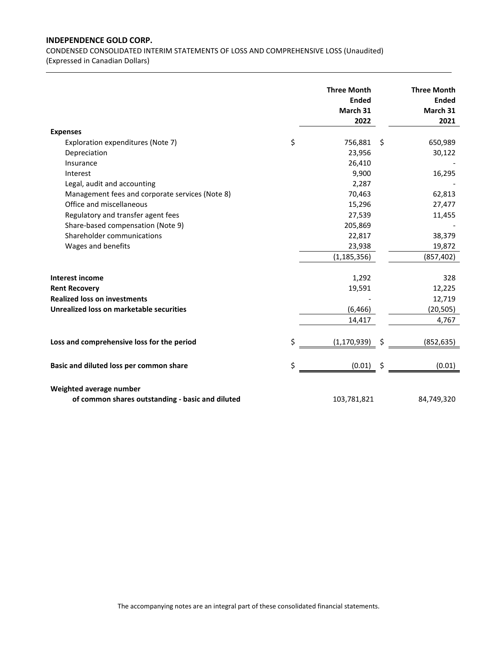CONDENSED CONSOLIDATED INTERIM STATEMENTS OF LOSS AND COMPREHENSIVE LOSS (Unaudited)

(Expressed in Canadian Dollars)

| <b>Expenses</b><br>Exploration expenditures (Note 7)<br>Depreciation<br>Insurance<br>Interest<br>Legal, audit and accounting<br>Management fees and corporate services (Note 8)<br>Office and miscellaneous<br>Regulatory and transfer agent fees<br>Share-based compensation (Note 9)<br>Shareholder communications<br>Wages and benefits | \$<br><b>Three Month</b><br><b>Ended</b><br>March 31<br>2022<br>756,881<br>23,956<br>26,410<br>9,900<br>2,287<br>70,463<br>15,296<br>27,539<br>205,869<br>22,817<br>23,938<br>(1, 185, 356) | \$<br><b>Three Month</b><br><b>Ended</b><br>March 31<br>2021<br>650,989<br>30,122<br>16,295<br>62,813<br>27,477<br>11,455<br>38,379<br>19,872<br>(857, 402) |
|--------------------------------------------------------------------------------------------------------------------------------------------------------------------------------------------------------------------------------------------------------------------------------------------------------------------------------------------|---------------------------------------------------------------------------------------------------------------------------------------------------------------------------------------------|-------------------------------------------------------------------------------------------------------------------------------------------------------------|
| <b>Interest income</b><br><b>Rent Recovery</b><br><b>Realized loss on investments</b><br>Unrealized loss on marketable securities                                                                                                                                                                                                          | 1,292<br>19,591<br>(6, 466)<br>14,417                                                                                                                                                       | 328<br>12,225<br>12,719<br>(20, 505)<br>4,767                                                                                                               |
| Loss and comprehensive loss for the period                                                                                                                                                                                                                                                                                                 | \$<br>(1, 170, 939)                                                                                                                                                                         | (852, 635)                                                                                                                                                  |
| Basic and diluted loss per common share                                                                                                                                                                                                                                                                                                    | \$<br>(0.01)                                                                                                                                                                                | \$<br>(0.01)                                                                                                                                                |
| Weighted average number<br>of common shares outstanding - basic and diluted                                                                                                                                                                                                                                                                | 103,781,821                                                                                                                                                                                 | 84,749,320                                                                                                                                                  |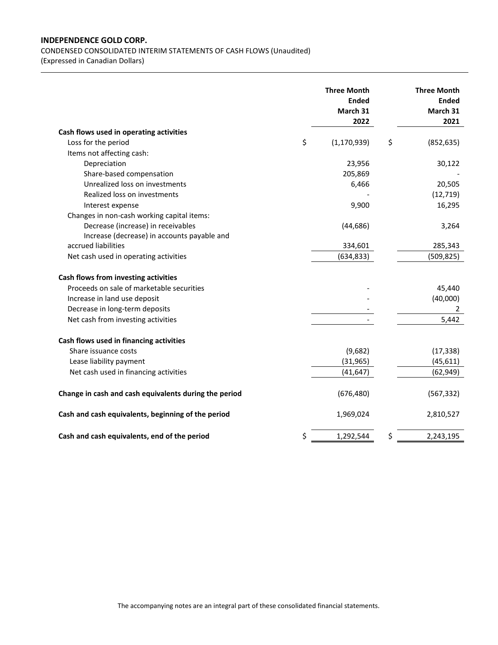CONDENSED CONSOLIDATED INTERIM STATEMENTS OF CASH FLOWS (Unaudited)

(Expressed in Canadian Dollars)

|                                                                                   | <b>Three Month</b><br><b>Ended</b><br>March 31<br>2022 | <b>Three Month</b><br><b>Ended</b><br>March 31<br>2021 |
|-----------------------------------------------------------------------------------|--------------------------------------------------------|--------------------------------------------------------|
| Cash flows used in operating activities                                           |                                                        |                                                        |
| Loss for the period                                                               | \$<br>(1, 170, 939)                                    | \$<br>(852, 635)                                       |
| Items not affecting cash:                                                         |                                                        |                                                        |
| Depreciation                                                                      | 23,956                                                 | 30,122                                                 |
| Share-based compensation                                                          | 205,869                                                |                                                        |
| Unrealized loss on investments                                                    | 6,466                                                  | 20,505                                                 |
| Realized loss on investments                                                      |                                                        | (12, 719)                                              |
| Interest expense                                                                  | 9,900                                                  | 16,295                                                 |
| Changes in non-cash working capital items:                                        |                                                        |                                                        |
| Decrease (increase) in receivables                                                | (44, 686)                                              | 3,264                                                  |
| Increase (decrease) in accounts payable and                                       |                                                        |                                                        |
| accrued liabilities                                                               | 334,601                                                | 285,343                                                |
| Net cash used in operating activities                                             | (634, 833)                                             | (509, 825)                                             |
| Cash flows from investing activities<br>Proceeds on sale of marketable securities |                                                        | 45,440                                                 |
| Increase in land use deposit                                                      |                                                        | (40,000)                                               |
| Decrease in long-term deposits                                                    |                                                        | 2                                                      |
| Net cash from investing activities                                                |                                                        | 5,442                                                  |
| Cash flows used in financing activities                                           |                                                        |                                                        |
| Share issuance costs                                                              | (9,682)                                                | (17, 338)                                              |
| Lease liability payment                                                           | (31, 965)                                              | (45, 611)                                              |
| Net cash used in financing activities                                             | (41, 647)                                              | (62, 949)                                              |
| Change in cash and cash equivalents during the period                             | (676, 480)                                             | (567, 332)                                             |
| Cash and cash equivalents, beginning of the period                                | 1,969,024                                              | 2,810,527                                              |
| Cash and cash equivalents, end of the period                                      | \$<br>1,292,544                                        | \$<br>2,243,195                                        |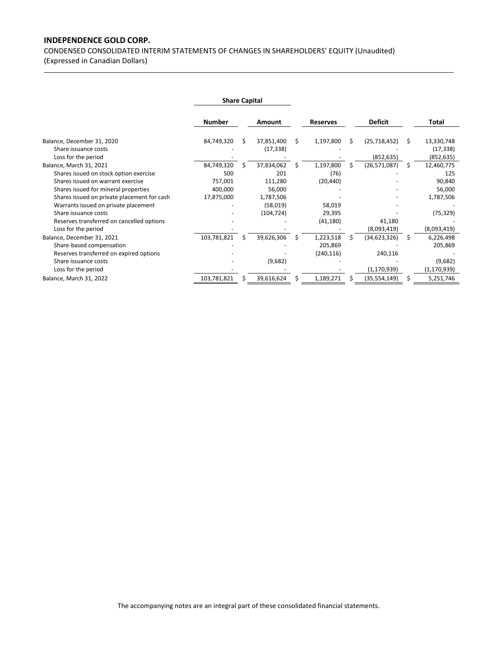CONDENSED CONSOLIDATED INTERIM STATEMENTS OF CHANGES IN SHAREHOLDERS' EQUITY (Unaudited)

(Expressed in Canadian Dollars)

|                                                    | <b>Share Capital</b> |   |                         |    |                 |    |                |    |                         |
|----------------------------------------------------|----------------------|---|-------------------------|----|-----------------|----|----------------|----|-------------------------|
|                                                    | <b>Number</b>        |   | Amount                  |    | <b>Reserves</b> |    | <b>Deficit</b> |    | Total                   |
| Balance, December 31, 2020<br>Share issuance costs | 84,749,320           | Ś | 37,851,400<br>(17, 338) | Ŝ. | 1,197,800       | Ś. | (25, 718, 452) | Ŝ. | 13,330,748<br>(17, 338) |
| Loss for the period                                |                      |   |                         |    |                 |    | (852, 635)     |    | (852, 635)              |
| Balance, March 31, 2021                            | 84,749,320           |   | 37,834,062              | S  | 1,197,800       |    | (26, 571, 087) | S  | 12,460,775              |
| Shares issued on stock option exercise             | 500                  |   | 201                     |    | (76)            |    |                |    | 125                     |
| Shares issued on warrant exercise                  | 757,001              |   | 111,280                 |    | (20, 440)       |    |                |    | 90,840                  |
| Shares issued for mineral properties               | 400,000              |   | 56,000                  |    |                 |    |                |    | 56,000                  |
| Shares issued on private placement for cash        | 17,875,000           |   | 1,787,506               |    |                 |    |                |    | 1,787,506               |
| Warrants issued on private placement               |                      |   | (58,019)                |    | 58,019          |    |                |    |                         |
| Share issuance costs                               |                      |   | (104, 724)              |    | 29,395          |    |                |    | (75, 329)               |
| Reserves transferred on cancelled options          |                      |   |                         |    | (41, 180)       |    | 41,180         |    |                         |
| Loss for the period                                |                      |   |                         |    |                 |    | (8,093,419)    |    | (8,093,419)             |
| Balance, December 31, 2021                         | 103,781,821          | Ś | 39,626,306              | S  | 1,223,518       | S  | (34, 623, 326) | S  | 6,226,498               |
| Share-based compensation                           |                      |   |                         |    | 205,869         |    |                |    | 205,869                 |
| Reserves transferred on expired options            |                      |   |                         |    | (240, 116)      |    | 240,116        |    |                         |
| Share issuance costs                               |                      |   | (9,682)                 |    |                 |    |                |    | (9,682)                 |
| Loss for the period                                |                      |   |                         |    |                 |    | (1, 170, 939)  |    | (1,170,939)             |
| Balance, March 31, 2022                            | 103,781,821          |   | 39,616,624              | Ś  | 1,189,271       |    | (35, 554, 149) |    | 5,251,746               |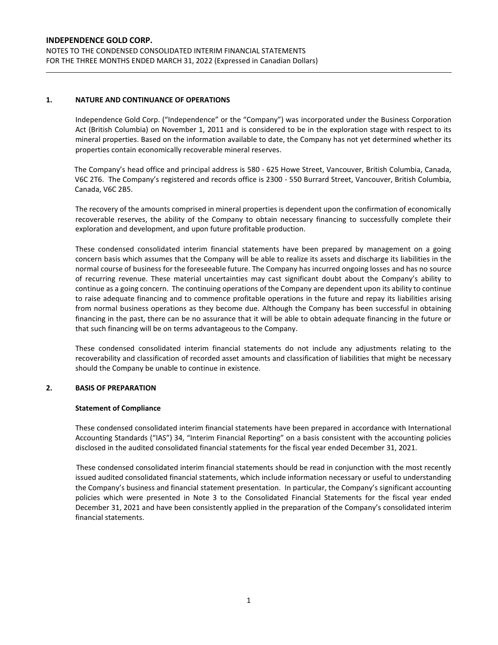## **1. NATURE AND CONTINUANCE OF OPERATIONS**

Independence Gold Corp. ("Independence" or the "Company") was incorporated under the Business Corporation Act (British Columbia) on November 1, 2011 and is considered to be in the exploration stage with respect to its mineral properties. Based on the information available to date, the Company has not yet determined whether its properties contain economically recoverable mineral reserves.

The Company's head office and principal address is 580 - 625 Howe Street, Vancouver, British Columbia, Canada, V6C 2T6. The Company's registered and records office is 2300 - 550 Burrard Street, Vancouver, British Columbia, Canada, V6C 2B5.

The recovery of the amounts comprised in mineral properties is dependent upon the confirmation of economically recoverable reserves, the ability of the Company to obtain necessary financing to successfully complete their exploration and development, and upon future profitable production.

These condensed consolidated interim financial statements have been prepared by management on a going concern basis which assumes that the Company will be able to realize its assets and discharge its liabilities in the normal course of business for the foreseeable future. The Company has incurred ongoing losses and has no source of recurring revenue. These material uncertainties may cast significant doubt about the Company's ability to continue as a going concern. The continuing operations of the Company are dependent upon its ability to continue to raise adequate financing and to commence profitable operations in the future and repay its liabilities arising from normal business operations as they become due. Although the Company has been successful in obtaining financing in the past, there can be no assurance that it will be able to obtain adequate financing in the future or that such financing will be on terms advantageous to the Company.

These condensed consolidated interim financial statements do not include any adjustments relating to the recoverability and classification of recorded asset amounts and classification of liabilities that might be necessary should the Company be unable to continue in existence.

## **2. BASIS OF PREPARATION**

#### **Statement of Compliance**

These condensed consolidated interim financial statements have been prepared in accordance with International Accounting Standards ("IAS") 34, "Interim Financial Reporting" on a basis consistent with the accounting policies disclosed in the audited consolidated financial statements for the fiscal year ended December 31, 2021.

These condensed consolidated interim financial statements should be read in conjunction with the most recently issued audited consolidated financial statements, which include information necessary or useful to understanding the Company's business and financial statement presentation. In particular, the Company's significant accounting policies which were presented in Note 3 to the Consolidated Financial Statements for the fiscal year ended December 31, 2021 and have been consistently applied in the preparation of the Company's consolidated interim financial statements.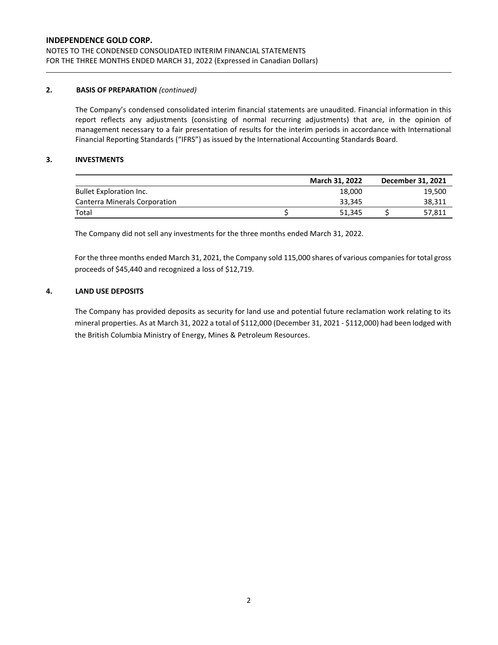## **2. BASIS OF PREPARATION** *(continued)*

The Company's condensed consolidated interim financial statements are unaudited. Financial information in this report reflects any adjustments (consisting of normal recurring adjustments) that are, in the opinion of management necessary to a fair presentation of results for the interim periods in accordance with International Financial Reporting Standards ("IFRS") as issued by the International Accounting Standards Board.

## **3. INVESTMENTS**

|                                | <b>March 31, 2022</b> | December 31, 2021 |
|--------------------------------|-----------------------|-------------------|
| <b>Bullet Exploration Inc.</b> | 18.000                | 19,500            |
| Canterra Minerals Corporation  | 33.345                | 38,311            |
| Total                          | 51.345                | 57,811            |

The Company did not sell any investments for the three months ended March 31, 2022.

For the three months ended March 31, 2021, the Company sold 115,000 shares of various companies for total gross proceeds of \$45,440 and recognized a loss of \$12,719.

# **4. LAND USE DEPOSITS**

The Company has provided deposits as security for land use and potential future reclamation work relating to its mineral properties. As at March 31, 2022 a total of \$112,000 (December 31, 2021 ‐ \$112,000) had been lodged with the British Columbia Ministry of Energy, Mines & Petroleum Resources.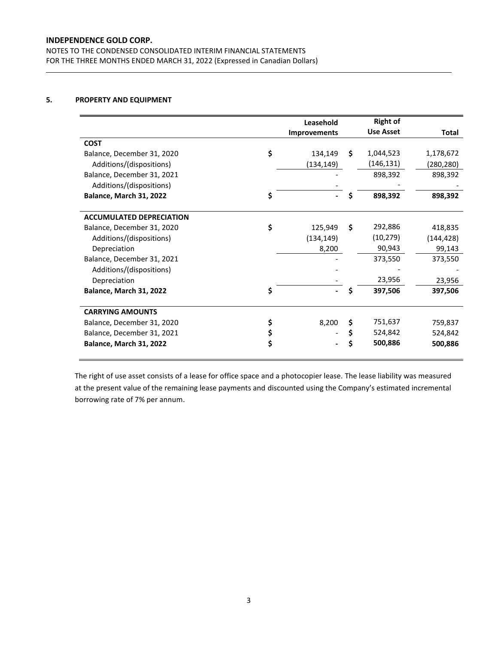NOTES TO THE CONDENSED CONSOLIDATED INTERIM FINANCIAL STATEMENTS FOR THE THREE MONTHS ENDED MARCH 31, 2022 (Expressed in Canadian Dollars)

# **5. PROPERTY AND EQUIPMENT**

|                                 | Leasehold           |    | <b>Right of</b>  |              |
|---------------------------------|---------------------|----|------------------|--------------|
|                                 | <b>Improvements</b> |    | <b>Use Asset</b> | <b>Total</b> |
| <b>COST</b>                     |                     |    |                  |              |
| Balance, December 31, 2020      | \$<br>134,149       | Ŝ. | 1,044,523        | 1,178,672    |
| Additions/(dispositions)        | (134, 149)          |    | (146, 131)       | (280, 280)   |
| Balance, December 31, 2021      |                     |    | 898,392          | 898,392      |
| Additions/(dispositions)        |                     |    |                  |              |
| Balance, March 31, 2022         | \$                  | S  | 898,392          | 898,392      |
|                                 |                     |    |                  |              |
| <b>ACCUMULATED DEPRECIATION</b> |                     |    |                  |              |
| Balance, December 31, 2020      | \$<br>125,949       | \$ | 292,886          | 418,835      |
| Additions/(dispositions)        | (134, 149)          |    | (10, 279)        | (144, 428)   |
| Depreciation                    | 8,200               |    | 90,943           | 99,143       |
| Balance, December 31, 2021      |                     |    | 373,550          | 373,550      |
| Additions/(dispositions)        |                     |    |                  |              |
| Depreciation                    |                     |    | 23,956           | 23,956       |
| Balance, March 31, 2022         | \$                  | S  | 397,506          | 397,506      |
|                                 |                     |    |                  |              |
| <b>CARRYING AMOUNTS</b>         |                     |    |                  |              |
| Balance, December 31, 2020      | \$<br>8,200         | \$ | 751,637          | 759,837      |
| Balance, December 31, 2021      |                     | \$ | 524,842          | 524,842      |
| Balance, March 31, 2022         | \$                  |    | 500,886          | 500,886      |
|                                 |                     |    |                  |              |

The right of use asset consists of a lease for office space and a photocopier lease. The lease liability was measured at the present value of the remaining lease payments and discounted using the Company's estimated incremental borrowing rate of 7% per annum.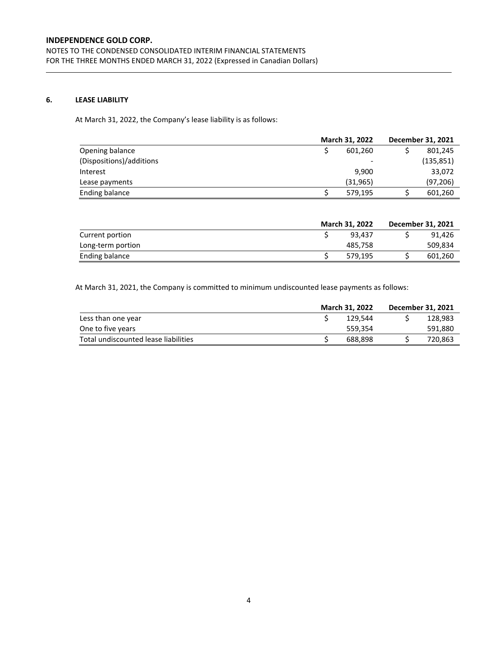# **6. LEASE LIABILITY**

At March 31, 2022, the Company's lease liability is as follows:

|                          | March 31, 2022 | December 31, 2021 |
|--------------------------|----------------|-------------------|
| Opening balance          | 601.260        | 801,245           |
| (Dispositions)/additions | -              | (135, 851)        |
| Interest                 | 9.900          | 33,072            |
| Lease payments           | (31, 965)      | (97, 206)         |
| Ending balance           | 579,195        | 601,260           |

|                   | <b>March 31, 2022</b> | December 31, 2021 |
|-------------------|-----------------------|-------------------|
| Current portion   | 93.437                | 91.426            |
| Long-term portion | 485.758               | 509,834           |
| Ending balance    | 579.195               | 601,260           |

At March 31, 2021, the Company is committed to minimum undiscounted lease payments as follows:

|                                      | March 31, 2022 | December 31, 2021 |
|--------------------------------------|----------------|-------------------|
| Less than one year                   | 129.544        | 128.983           |
| One to five years                    | 559.354        | 591,880           |
| Total undiscounted lease liabilities | 688.898        | 720,863           |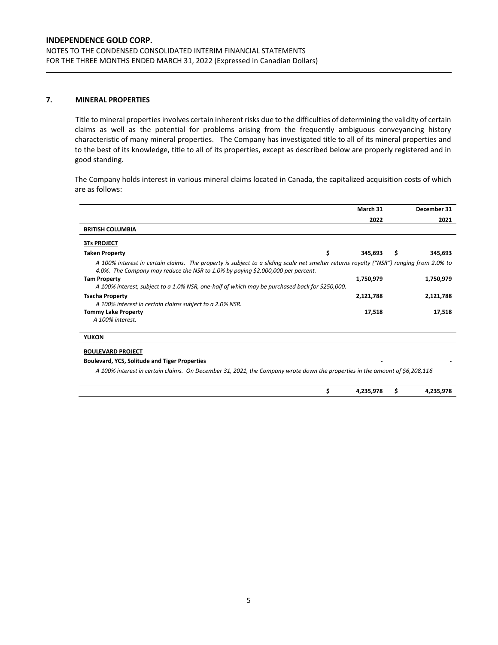# **7. MINERAL PROPERTIES**

Title to mineral properties involves certain inherent risks due to the difficulties of determining the validity of certain claims as well as the potential for problems arising from the frequently ambiguous conveyancing history characteristic of many mineral properties. The Company has investigated title to all of its mineral properties and to the best of its knowledge, title to all of its properties, except as described below are properly registered and in good standing.

The Company holds interest in various mineral claims located in Canada, the capitalized acquisition costs of which are as follows:

|                                                                                                                                                                                                                           | March 31      | December 31    |
|---------------------------------------------------------------------------------------------------------------------------------------------------------------------------------------------------------------------------|---------------|----------------|
|                                                                                                                                                                                                                           | 2022          | 2021           |
| <b>BRITISH COLUMBIA</b>                                                                                                                                                                                                   |               |                |
| <b>3Ts PROJECT</b>                                                                                                                                                                                                        |               |                |
| <b>Taken Property</b>                                                                                                                                                                                                     | \$<br>345,693 | \$.<br>345,693 |
| A 100% interest in certain claims. The property is subject to a sliding scale net smelter returns royalty ("NSR") ranging from 2.0% to<br>4.0%. The Company may reduce the NSR to 1.0% by paying \$2,000,000 per percent. |               |                |
| <b>Tam Property</b>                                                                                                                                                                                                       | 1,750,979     | 1,750,979      |
| A 100% interest, subject to a 1.0% NSR, one-half of which may be purchased back for \$250,000.                                                                                                                            |               |                |
| <b>Tsacha Property</b>                                                                                                                                                                                                    | 2,121,788     | 2,121,788      |
| A 100% interest in certain claims subject to a 2.0% NSR.                                                                                                                                                                  |               |                |
| <b>Tommy Lake Property</b>                                                                                                                                                                                                | 17,518        | 17,518         |
| A 100% interest.                                                                                                                                                                                                          |               |                |
| <b>YUKON</b>                                                                                                                                                                                                              |               |                |
| <b>BOULEVARD PROJECT</b>                                                                                                                                                                                                  |               |                |
| <b>Boulevard, YCS, Solitude and Tiger Properties</b>                                                                                                                                                                      |               |                |

*A 100% interest in certain claims. On December 31, 2021, the Company wrote down the properties in the amount of \$6,208,116*

|  | 225.075<br>$\cdots$ | . . | $\sim$<br>. .<br>,-- |
|--|---------------------|-----|----------------------|
|  |                     |     |                      |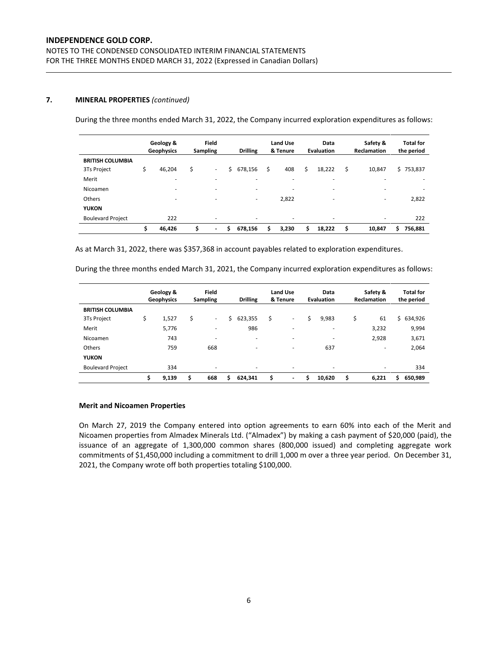## **7. MINERAL PROPERTIES** *(continued)*

During the three months ended March 31, 2022, the Company incurred exploration expenditures as follows:

|                          | Geology &<br>Geophysics  |    | <b>Field</b><br><b>Sampling</b> |   | <b>Drilling</b> |    | <b>Land Use</b><br>& Tenure |    | Data<br><b>Evaluation</b> |    | Safety &<br><b>Reclamation</b> | <b>Total for</b><br>the period |
|--------------------------|--------------------------|----|---------------------------------|---|-----------------|----|-----------------------------|----|---------------------------|----|--------------------------------|--------------------------------|
| <b>BRITISH COLUMBIA</b>  |                          |    |                                 |   |                 |    |                             |    |                           |    |                                |                                |
| 3Ts Project              | \$<br>46,204             | \$ | ٠                               | Ś | 678,156         | \$ | 408                         | \$ | 18,222                    | \$ | 10,847                         | \$753,837                      |
| Merit                    | $\overline{\phantom{a}}$ |    |                                 |   | -               |    | -                           |    | ۰                         |    | ۰                              | $\overline{\phantom{a}}$       |
| Nicoamen                 | $\overline{\phantom{a}}$ |    |                                 |   | -               |    | $\overline{\phantom{a}}$    |    | ۰                         |    | ۰                              |                                |
| Others                   | $\overline{\phantom{a}}$ |    |                                 |   | ۰               |    | 2,822                       |    | ۰                         |    | ۰                              | 2,822                          |
| <b>YUKON</b>             |                          |    |                                 |   |                 |    |                             |    |                           |    |                                |                                |
| <b>Boulevard Project</b> | 222                      |    | ۰                               |   | -               |    | $\overline{\phantom{a}}$    |    | ۰                         |    | ٠                              | 222                            |
|                          | \$<br>46,426             | Ś  | $\overline{\phantom{0}}$        | Ś | 678,156         | \$ | 3,230                       | Ś  | 18,222                    | Ś  | 10,847                         | 756,881<br>Ś                   |

As at March 31, 2022, there was \$357,368 in account payables related to exploration expenditures.

During the three months ended March 31, 2021, the Company incurred exploration expenditures as follows:

|                          |    | Geology &<br>Geophysics |    | <b>Field</b><br><b>Sampling</b> |    | <b>Drilling</b> |    | Land Use<br>& Tenure     |   | Data<br><b>Evaluation</b> |    | Safety &<br><b>Reclamation</b> | <b>Total for</b><br>the period |
|--------------------------|----|-------------------------|----|---------------------------------|----|-----------------|----|--------------------------|---|---------------------------|----|--------------------------------|--------------------------------|
| <b>BRITISH COLUMBIA</b>  |    |                         |    |                                 |    |                 |    |                          |   |                           |    |                                |                                |
| 3Ts Project              | \$ | 1,527                   | \$ | ٠                               | Ś  | 623,355         | Ś. | ٠                        | Ś | 9,983                     | \$ | 61                             | 634,926<br>Ś.                  |
| Merit                    |    | 5,776                   |    | -                               |    | 986             |    | -                        |   | ۰                         |    | 3,232                          | 9,994                          |
| Nicoamen                 |    | 743                     |    | -                               |    | -               |    | $\overline{\phantom{a}}$ |   | ٠                         |    | 2,928                          | 3,671                          |
| Others                   |    | 759                     |    | 668                             |    | -               |    |                          |   | 637                       |    | ٠                              | 2,064                          |
| <b>YUKON</b>             |    |                         |    |                                 |    |                 |    |                          |   |                           |    |                                |                                |
| <b>Boulevard Project</b> |    | 334                     |    | ۰                               |    | -               |    | ۰                        |   | ٠                         |    | ۰                              | 334                            |
|                          | Ś  | 9,139                   | Ś  | 668                             | \$ | 624.341         | \$ | $\overline{\phantom{a}}$ | Ś | 10.620                    | Ś  | 6.221                          | 650,989<br>\$.                 |

#### **Merit and Nicoamen Properties**

On March 27, 2019 the Company entered into option agreements to earn 60% into each of the Merit and Nicoamen properties from Almadex Minerals Ltd. ("Almadex") by making a cash payment of \$20,000 (paid), the issuance of an aggregate of 1,300,000 common shares (800,000 issued) and completing aggregate work commitments of \$1,450,000 including a commitment to drill 1,000 m over a three year period. On December 31, 2021, the Company wrote off both properties totaling \$100,000.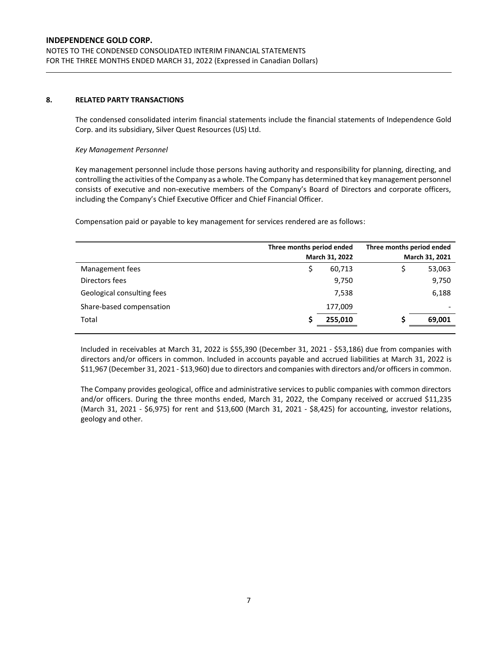### **8. RELATED PARTY TRANSACTIONS**

The condensed consolidated interim financial statements include the financial statements of Independence Gold Corp. and its subsidiary, Silver Quest Resources (US) Ltd.

#### *Key Management Personnel*

Key management personnel include those persons having authority and responsibility for planning, directing, and controlling the activities of the Company as a whole. The Company has determined that key management personnel consists of executive and non-executive members of the Company's Board of Directors and corporate officers, including the Company's Chief Executive Officer and Chief Financial Officer.

Compensation paid or payable to key management for services rendered are as follows:

|                            | Three months period ended<br>March 31, 2022 | Three months period ended<br>March 31, 2021 |  |
|----------------------------|---------------------------------------------|---------------------------------------------|--|
| Management fees            | 60,713<br>S                                 | 53,063                                      |  |
| Directors fees             | 9,750                                       | 9,750                                       |  |
| Geological consulting fees | 7,538                                       | 6,188                                       |  |
| Share-based compensation   | 177,009                                     |                                             |  |
| Total                      | 255,010                                     | 69,001                                      |  |
|                            |                                             |                                             |  |

Included in receivables at March 31, 2022 is \$55,390 (December 31, 2021 - \$53,186) due from companies with directors and/or officers in common. Included in accounts payable and accrued liabilities at March 31, 2022 is \$11,967 (December 31, 2021 - \$13,960) due to directors and companies with directors and/or officers in common.

The Company provides geological, office and administrative services to public companies with common directors and/or officers. During the three months ended, March 31, 2022, the Company received or accrued \$11,235 (March 31, 2021 - \$6,975) for rent and \$13,600 (March 31, 2021 - \$8,425) for accounting, investor relations, geology and other.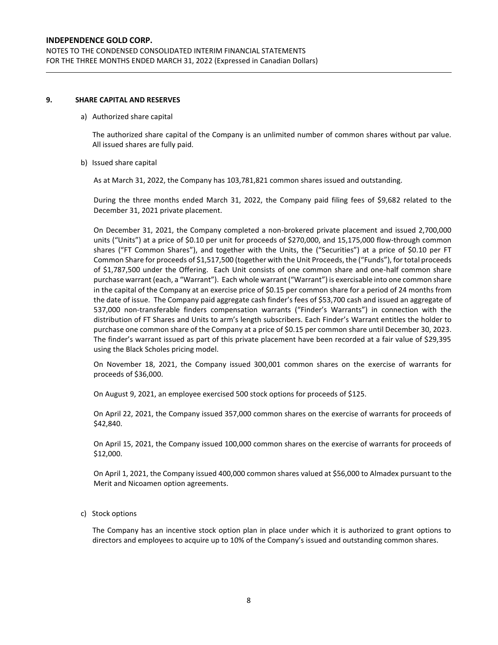### **9. SHARE CAPITAL AND RESERVES**

#### a) Authorized share capital

The authorized share capital of the Company is an unlimited number of common shares without par value. All issued shares are fully paid.

#### b) Issued share capital

As at March 31, 2022, the Company has 103,781,821 common shares issued and outstanding.

During the three months ended March 31, 2022, the Company paid filing fees of \$9,682 related to the December 31, 2021 private placement.

On December 31, 2021, the Company completed a non-brokered private placement and issued 2,700,000 units ("Units") at a price of \$0.10 per unit for proceeds of \$270,000, and 15,175,000 flow-through common shares ("FT Common Shares"), and together with the Units, the ("Securities") at a price of \$0.10 per FT Common Share for proceeds of \$1,517,500 (together with the Unit Proceeds, the ("Funds"), for total proceeds of \$1,787,500 under the Offering. Each Unit consists of one common share and one-half common share purchase warrant (each, a "Warrant"). Each whole warrant ("Warrant") is exercisable into one common share in the capital of the Company at an exercise price of \$0.15 per common share for a period of 24 months from the date of issue. The Company paid aggregate cash finder's fees of \$53,700 cash and issued an aggregate of 537,000 non-transferable finders compensation warrants ("Finder's Warrants") in connection with the distribution of FT Shares and Units to arm's length subscribers. Each Finder's Warrant entitles the holder to purchase one common share of the Company at a price of \$0.15 per common share until December 30, 2023. The finder's warrant issued as part of this private placement have been recorded at a fair value of \$29,395 using the Black Scholes pricing model.

On November 18, 2021, the Company issued 300,001 common shares on the exercise of warrants for proceeds of \$36,000.

On August 9, 2021, an employee exercised 500 stock options for proceeds of \$125.

On April 22, 2021, the Company issued 357,000 common shares on the exercise of warrants for proceeds of \$42,840.

On April 15, 2021, the Company issued 100,000 common shares on the exercise of warrants for proceeds of \$12,000.

On April 1, 2021, the Company issued 400,000 common shares valued at \$56,000 to Almadex pursuant to the Merit and Nicoamen option agreements.

c) Stock options

The Company has an incentive stock option plan in place under which it is authorized to grant options to directors and employees to acquire up to 10% of the Company's issued and outstanding common shares.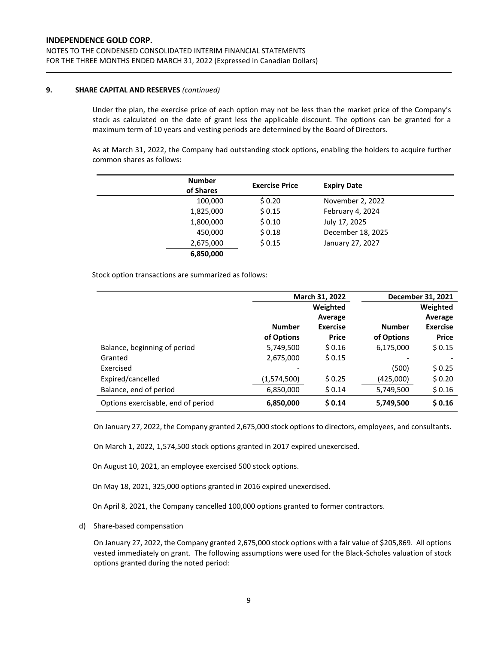## **9. SHARE CAPITAL AND RESERVES** *(continued)*

Under the plan, the exercise price of each option may not be less than the market price of the Company's stock as calculated on the date of grant less the applicable discount. The options can be granted for a maximum term of 10 years and vesting periods are determined by the Board of Directors.

As at March 31, 2022, the Company had outstanding stock options, enabling the holders to acquire further common shares as follows:

| <b>Number</b><br>of Shares | <b>Exercise Price</b> | <b>Expiry Date</b> |  |
|----------------------------|-----------------------|--------------------|--|
| 100,000                    | \$0.20                | November 2, 2022   |  |
| 1,825,000                  | \$0.15                | February 4, 2024   |  |
| 1,800,000                  | \$0.10                | July 17, 2025      |  |
| 450,000                    | \$0.18                | December 18, 2025  |  |
| 2,675,000                  | \$0.15                | January 27, 2027   |  |
| 6,850,000                  |                       |                    |  |

Stock option transactions are summarized as follows:

|                                    |               | March 31, 2022  | December 31, 2021 |                 |  |
|------------------------------------|---------------|-----------------|-------------------|-----------------|--|
|                                    |               | Weighted        |                   | Weighted        |  |
|                                    |               | Average         |                   | Average         |  |
|                                    | <b>Number</b> | <b>Exercise</b> | <b>Number</b>     | <b>Exercise</b> |  |
|                                    | of Options    | <b>Price</b>    | of Options        | <b>Price</b>    |  |
| Balance, beginning of period       | 5,749,500     | \$0.16          | 6,175,000         | \$0.15          |  |
| Granted                            | 2,675,000     | \$0.15          |                   |                 |  |
| Exercised                          |               |                 | (500)             | \$0.25          |  |
| Expired/cancelled                  | (1,574,500)   | \$0.25          | (425,000)         | \$0.20          |  |
| Balance, end of period             | 6,850,000     | \$0.14          | 5,749,500         | \$0.16          |  |
| Options exercisable, end of period | 6,850,000     | \$0.14          | 5,749,500         | \$0.16          |  |

On January 27, 2022, the Company granted 2,675,000 stock options to directors, employees, and consultants.

On March 1, 2022, 1,574,500 stock options granted in 2017 expired unexercised.

On August 10, 2021, an employee exercised 500 stock options.

On May 18, 2021, 325,000 options granted in 2016 expired unexercised.

On April 8, 2021, the Company cancelled 100,000 options granted to former contractors.

d) Share-based compensation

On January 27, 2022, the Company granted 2,675,000 stock options with a fair value of \$205,869. All options vested immediately on grant. The following assumptions were used for the Black-Scholes valuation of stock options granted during the noted period: